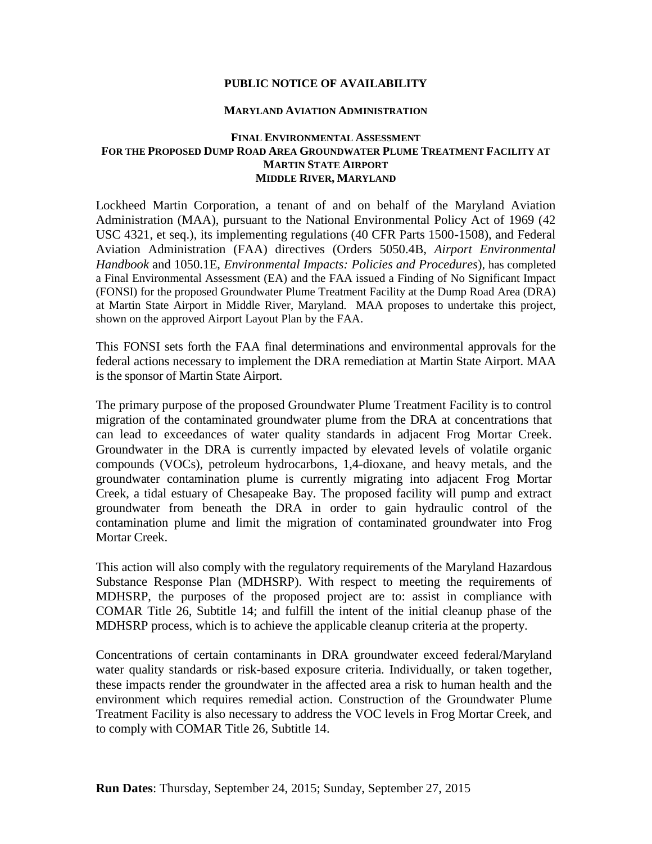## **PUBLIC NOTICE OF AVAILABILITY**

## **MARYLAND AVIATION ADMINISTRATION**

## **FINAL ENVIRONMENTAL ASSESSMENT FOR THE PROPOSED DUMP ROAD AREA GROUNDWATER PLUME TREATMENT FACILITY AT MARTIN STATE AIRPORT MIDDLE RIVER, MARYLAND**

Lockheed Martin Corporation, a tenant of and on behalf of the Maryland Aviation Administration (MAA), pursuant to the National Environmental Policy Act of 1969 (42 USC 4321, et seq.), its implementing regulations (40 CFR Parts 1500-1508), and Federal Aviation Administration (FAA) directives (Orders 5050.4B, *Airport Environmental Handbook* and 1050.1E, *Environmental Impacts: Policies and Procedures*), has completed a Final Environmental Assessment (EA) and the FAA issued a Finding of No Significant Impact (FONSI) for the proposed Groundwater Plume Treatment Facility at the Dump Road Area (DRA) at Martin State Airport in Middle River, Maryland. MAA proposes to undertake this project, shown on the approved Airport Layout Plan by the FAA.

This FONSI sets forth the FAA final determinations and environmental approvals for the federal actions necessary to implement the DRA remediation at Martin State Airport. MAA is the sponsor of Martin State Airport.

The primary purpose of the proposed Groundwater Plume Treatment Facility is to control migration of the contaminated groundwater plume from the DRA at concentrations that can lead to exceedances of water quality standards in adjacent Frog Mortar Creek. Groundwater in the DRA is currently impacted by elevated levels of volatile organic compounds (VOCs), petroleum hydrocarbons, 1,4-dioxane, and heavy metals, and the groundwater contamination plume is currently migrating into adjacent Frog Mortar Creek, a tidal estuary of Chesapeake Bay. The proposed facility will pump and extract groundwater from beneath the DRA in order to gain hydraulic control of the contamination plume and limit the migration of contaminated groundwater into Frog Mortar Creek.

This action will also comply with the regulatory requirements of the Maryland Hazardous Substance Response Plan (MDHSRP). With respect to meeting the requirements of MDHSRP, the purposes of the proposed project are to: assist in compliance with COMAR Title 26, Subtitle 14; and fulfill the intent of the initial cleanup phase of the MDHSRP process, which is to achieve the applicable cleanup criteria at the property.

Concentrations of certain contaminants in DRA groundwater exceed federal/Maryland water quality standards or risk-based exposure criteria. Individually, or taken together, these impacts render the groundwater in the affected area a risk to human health and the environment which requires remedial action. Construction of the Groundwater Plume Treatment Facility is also necessary to address the VOC levels in Frog Mortar Creek, and to comply with COMAR Title 26, Subtitle 14.